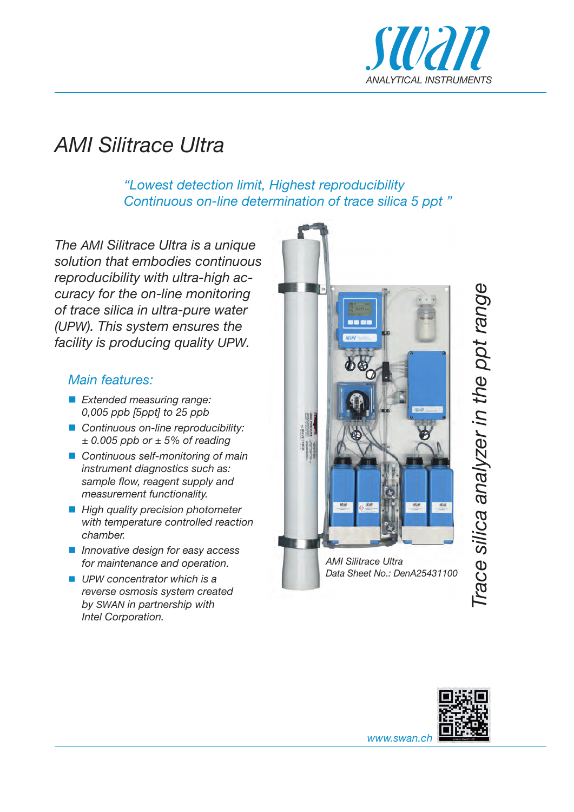

# *AMI Silitrace Ultra*

 *"Lowest detection limit, Highest reproducibility Continuous on-line determination of trace silica 5 ppt "*

*The AMI Silitrace Ultra is a unique solution that embodies continuous reproducibility with ultra-high accuracy for the on-line monitoring of trace silica in ultra-pure water (UPW). This system ensures the facility is producing quality UPW.*

#### *Main features:*

- *Extended measuring range: 0,005 ppb [5ppt] to 25 ppb*
- *Continuous on-line reproducibility: ± 0.005 ppb or ± 5% of reading*
- *Continuous self-monitoring of main instrument diagnostics such as:*  sample flow, reagent supply and *measurement functionality.*
- High quality precision photometer *with temperature controlled reaction chamber.*
- *Innovative design for easy access for maintenance and operation.*
- UPW concentrator which is a *reverse osmosis system created by SWAN in partnership with Intel Corporation.*



*AMI Silitrace Ultra Data Sheet No.: DenA25431100*





*www.swan.ch*